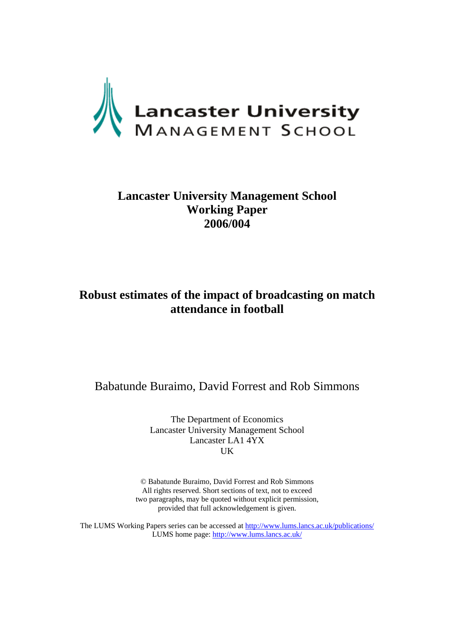

# **Lancaster University Management School Working Paper 2006/004**

# **Robust estimates of the impact of broadcasting on match attendance in football**

Babatunde Buraimo, David Forrest and Rob Simmons

The Department of Economics Lancaster University Management School Lancaster LA1 4YX UK

© Babatunde Buraimo, David Forrest and Rob Simmons All rights reserved. Short sections of text, not to exceed two paragraphs, may be quoted without explicit permission, provided that full acknowledgement is given.

The LUMS Working Papers series can be accessed at<http://www.lums.lancs.ac.uk/publications/> LUMS home page: <http://www.lums.lancs.ac.uk/>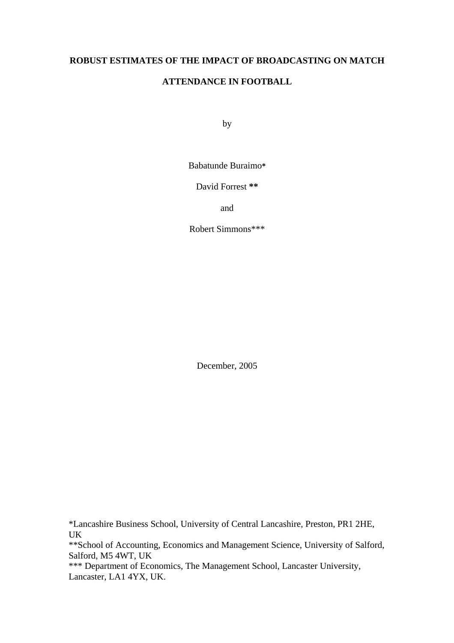## **ROBUST ESTIMATES OF THE IMPACT OF BROADCASTING ON MATCH**

## **ATTENDANCE IN FOOTBALL**

by

Babatunde Buraimo**\***

David Forrest **\*\*** 

and

Robert Simmons\*\*\*

December, 2005

\*Lancashire Business School, University of Central Lancashire, Preston, PR1 2HE, UK

\*\*School of Accounting, Economics and Management Science, University of Salford, Salford, M5 4WT, UK

\*\*\* Department of Economics, The Management School, Lancaster University, Lancaster, LA1 4YX, UK.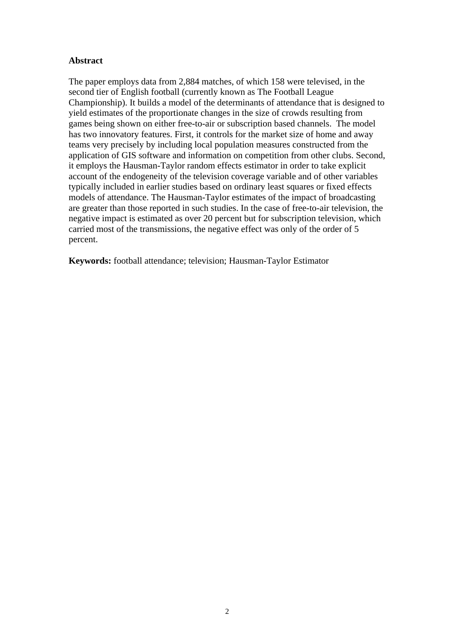## **Abstract**

The paper employs data from 2,884 matches, of which 158 were televised, in the second tier of English football (currently known as The Football League Championship). It builds a model of the determinants of attendance that is designed to yield estimates of the proportionate changes in the size of crowds resulting from games being shown on either free-to-air or subscription based channels. The model has two innovatory features. First, it controls for the market size of home and away teams very precisely by including local population measures constructed from the application of GIS software and information on competition from other clubs. Second, it employs the Hausman-Taylor random effects estimator in order to take explicit account of the endogeneity of the television coverage variable and of other variables typically included in earlier studies based on ordinary least squares or fixed effects models of attendance. The Hausman-Taylor estimates of the impact of broadcasting are greater than those reported in such studies. In the case of free-to-air television, the negative impact is estimated as over 20 percent but for subscription television, which carried most of the transmissions, the negative effect was only of the order of 5 percent.

**Keywords:** football attendance; television; Hausman-Taylor Estimator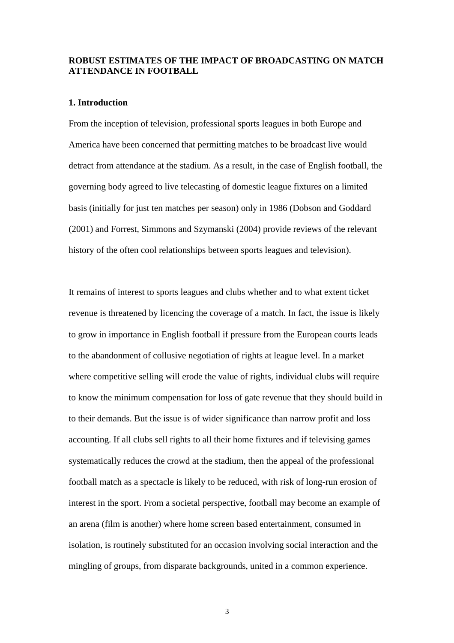## **ROBUST ESTIMATES OF THE IMPACT OF BROADCASTING ON MATCH ATTENDANCE IN FOOTBALL**

#### **1. Introduction**

From the inception of television, professional sports leagues in both Europe and America have been concerned that permitting matches to be broadcast live would detract from attendance at the stadium. As a result, in the case of English football, the governing body agreed to live telecasting of domestic league fixtures on a limited basis (initially for just ten matches per season) only in 1986 (Dobson and Goddard (2001) and Forrest, Simmons and Szymanski (2004) provide reviews of the relevant history of the often cool relationships between sports leagues and television).

It remains of interest to sports leagues and clubs whether and to what extent ticket revenue is threatened by licencing the coverage of a match. In fact, the issue is likely to grow in importance in English football if pressure from the European courts leads to the abandonment of collusive negotiation of rights at league level. In a market where competitive selling will erode the value of rights, individual clubs will require to know the minimum compensation for loss of gate revenue that they should build in to their demands. But the issue is of wider significance than narrow profit and loss accounting. If all clubs sell rights to all their home fixtures and if televising games systematically reduces the crowd at the stadium, then the appeal of the professional football match as a spectacle is likely to be reduced, with risk of long-run erosion of interest in the sport. From a societal perspective, football may become an example of an arena (film is another) where home screen based entertainment, consumed in isolation, is routinely substituted for an occasion involving social interaction and the mingling of groups, from disparate backgrounds, united in a common experience.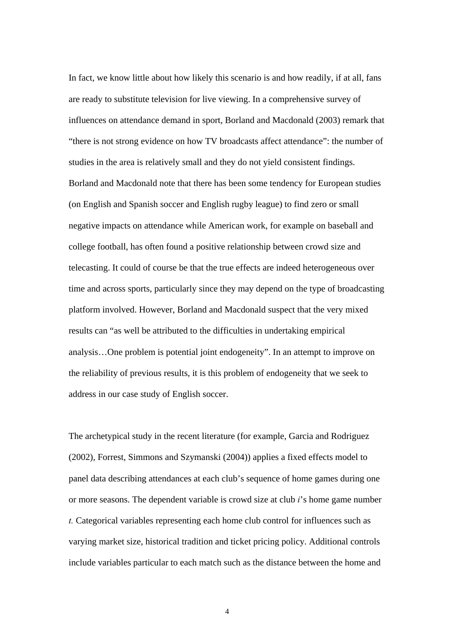In fact, we know little about how likely this scenario is and how readily, if at all, fans are ready to substitute television for live viewing. In a comprehensive survey of influences on attendance demand in sport, Borland and Macdonald (2003) remark that "there is not strong evidence on how TV broadcasts affect attendance": the number of studies in the area is relatively small and they do not yield consistent findings. Borland and Macdonald note that there has been some tendency for European studies (on English and Spanish soccer and English rugby league) to find zero or small negative impacts on attendance while American work, for example on baseball and college football, has often found a positive relationship between crowd size and telecasting. It could of course be that the true effects are indeed heterogeneous over time and across sports, particularly since they may depend on the type of broadcasting platform involved. However, Borland and Macdonald suspect that the very mixed results can "as well be attributed to the difficulties in undertaking empirical analysis…One problem is potential joint endogeneity". In an attempt to improve on the reliability of previous results, it is this problem of endogeneity that we seek to address in our case study of English soccer.

The archetypical study in the recent literature (for example, Garcia and Rodriguez (2002), Forrest, Simmons and Szymanski (2004)) applies a fixed effects model to panel data describing attendances at each club's sequence of home games during one or more seasons. The dependent variable is crowd size at club *i*'s home game number *t.* Categorical variables representing each home club control for influences such as varying market size, historical tradition and ticket pricing policy. Additional controls include variables particular to each match such as the distance between the home and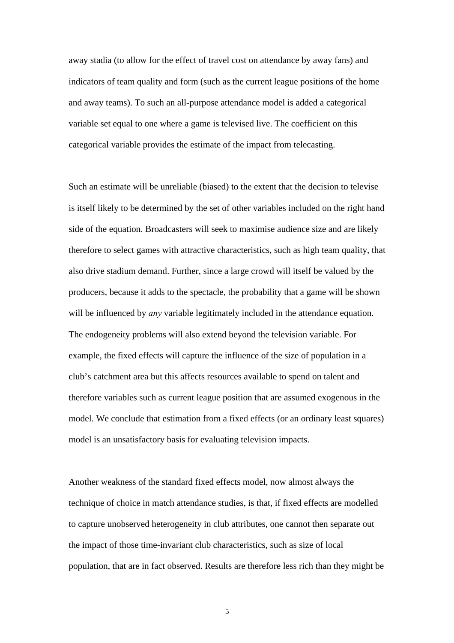away stadia (to allow for the effect of travel cost on attendance by away fans) and indicators of team quality and form (such as the current league positions of the home and away teams). To such an all-purpose attendance model is added a categorical variable set equal to one where a game is televised live. The coefficient on this categorical variable provides the estimate of the impact from telecasting.

Such an estimate will be unreliable (biased) to the extent that the decision to televise is itself likely to be determined by the set of other variables included on the right hand side of the equation. Broadcasters will seek to maximise audience size and are likely therefore to select games with attractive characteristics, such as high team quality, that also drive stadium demand. Further, since a large crowd will itself be valued by the producers, because it adds to the spectacle, the probability that a game will be shown will be influenced by *any* variable legitimately included in the attendance equation. The endogeneity problems will also extend beyond the television variable. For example, the fixed effects will capture the influence of the size of population in a club's catchment area but this affects resources available to spend on talent and therefore variables such as current league position that are assumed exogenous in the model. We conclude that estimation from a fixed effects (or an ordinary least squares) model is an unsatisfactory basis for evaluating television impacts.

Another weakness of the standard fixed effects model, now almost always the technique of choice in match attendance studies, is that, if fixed effects are modelled to capture unobserved heterogeneity in club attributes, one cannot then separate out the impact of those time-invariant club characteristics, such as size of local population, that are in fact observed. Results are therefore less rich than they might be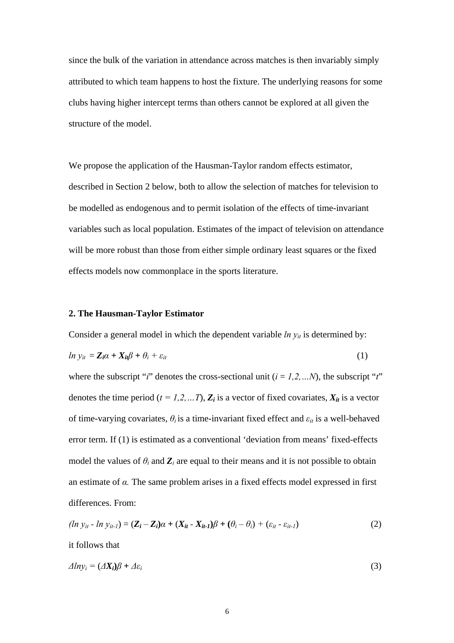since the bulk of the variation in attendance across matches is then invariably simply attributed to which team happens to host the fixture. The underlying reasons for some clubs having higher intercept terms than others cannot be explored at all given the structure of the model.

We propose the application of the Hausman-Taylor random effects estimator, described in Section 2 below, both to allow the selection of matches for television to be modelled as endogenous and to permit isolation of the effects of time-invariant variables such as local population. Estimates of the impact of television on attendance will be more robust than those from either simple ordinary least squares or the fixed effects models now commonplace in the sports literature.

## **2. The Hausman-Taylor Estimator**

Consider a general model in which the dependent variable *ln y<sub>it</sub>* is determined by:

$$
ln y_{it} = \mathbf{Z}_i \alpha + \mathbf{X}_{it} \beta + \theta_i + \varepsilon_{it}
$$
 (1)

where the subscript "*i*" denotes the cross-sectional unit  $(i = 1, 2, ...N)$ , the subscript "*t*" denotes the time period  $(t = 1, 2, \dots, T)$ ,  $\mathbb{Z}_i$  is a vector of fixed covariates,  $X_{it}$  is a vector of time-varying covariates,  $\theta_i$  is a time-invariant fixed effect and  $\varepsilon_{it}$  is a well-behaved error term. If (1) is estimated as a conventional 'deviation from means' fixed-effects model the values of  $\theta_i$  and  $\mathbf{Z}_i$  are equal to their means and it is not possible to obtain an estimate of *α.* The same problem arises in a fixed effects model expressed in first differences. From:

$$
(ln y_{it} - ln y_{it-1}) = (\mathbf{Z}_i - \mathbf{Z}_i)\alpha + (\mathbf{X}_{it} - \mathbf{X}_{it-1})\beta + (\theta_i - \theta_i) + (\varepsilon_{it} - \varepsilon_{it-1})
$$
\n(2)

it follows that

$$
\Delta l n y_i = (\Delta X_i) \beta + \Delta \varepsilon_i \tag{3}
$$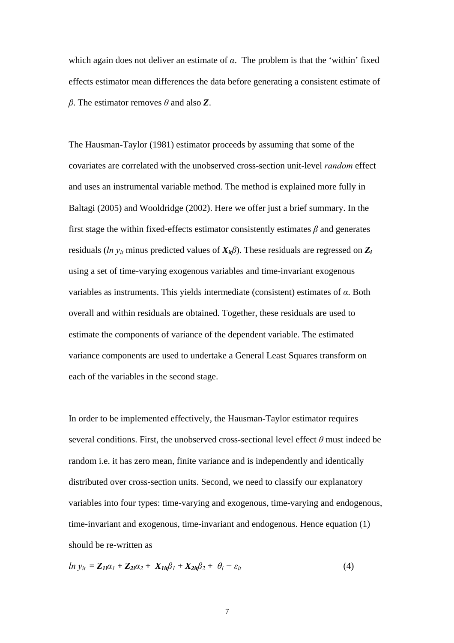which again does not deliver an estimate of *α*. The problem is that the 'within' fixed effects estimator mean differences the data before generating a consistent estimate of *β*. The estimator removes *θ* and also *Z*.

The Hausman-Taylor (1981) estimator proceeds by assuming that some of the covariates are correlated with the unobserved cross-section unit-level *random* effect and uses an instrumental variable method. The method is explained more fully in Baltagi (2005) and Wooldridge (2002). Here we offer just a brief summary. In the first stage the within fixed-effects estimator consistently estimates *β* and generates residuals (*ln yit* minus predicted values of *Xitβ*). These residuals are regressed on *Zi* using a set of time-varying exogenous variables and time-invariant exogenous variables as instruments. This yields intermediate (consistent) estimates of *α*. Both overall and within residuals are obtained. Together, these residuals are used to estimate the components of variance of the dependent variable. The estimated variance components are used to undertake a General Least Squares transform on each of the variables in the second stage.

In order to be implemented effectively, the Hausman-Taylor estimator requires several conditions. First, the unobserved cross-sectional level effect *θ* must indeed be random i.e. it has zero mean, finite variance and is independently and identically distributed over cross-section units. Second, we need to classify our explanatory variables into four types: time-varying and exogenous, time-varying and endogenous, time-invariant and exogenous, time-invariant and endogenous. Hence equation (1) should be re-written as

$$
ln y_{it} = Z_{Ii}\alpha_I + Z_{2i}\alpha_2 + X_{Iit}\beta_I + X_{2it}\beta_2 + \theta_i + \varepsilon_{it}
$$
\n
$$
\tag{4}
$$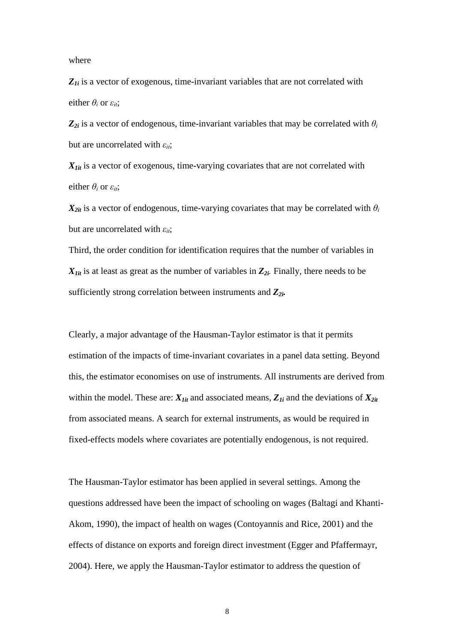where

 $Z_{Ii}$  is a vector of exogenous, time-invariant variables that are not correlated with either  $\theta_i$  or  $\varepsilon_{it}$ ;

 $Z_{2i}$  is a vector of endogenous, time-invariant variables that may be correlated with  $\theta_i$ but are uncorrelated with *εit*;

*X1it* is a vector of exogenous, time-varying covariates that are not correlated with either  $\theta_i$  or  $\varepsilon_{it}$ ;

 $X_{2it}$  is a vector of endogenous, time-varying covariates that may be correlated with  $\theta_i$ but are uncorrelated with *εit*;

Third, the order condition for identification requires that the number of variables in  $X_{Iit}$  is at least as great as the number of variables in  $Z_{2i}$ . Finally, there needs to be sufficiently strong correlation between instruments and  $Z_{2i}$ .

Clearly, a major advantage of the Hausman-Taylor estimator is that it permits estimation of the impacts of time-invariant covariates in a panel data setting. Beyond this, the estimator economises on use of instruments. All instruments are derived from within the model. These are:  $X_{Iit}$  and associated means,  $Z_{Ii}$  and the deviations of  $X_{2it}$ from associated means. A search for external instruments, as would be required in fixed-effects models where covariates are potentially endogenous, is not required.

The Hausman-Taylor estimator has been applied in several settings. Among the questions addressed have been the impact of schooling on wages (Baltagi and Khanti-Akom, 1990), the impact of health on wages (Contoyannis and Rice, 2001) and the effects of distance on exports and foreign direct investment (Egger and Pfaffermayr, 2004). Here, we apply the Hausman-Taylor estimator to address the question of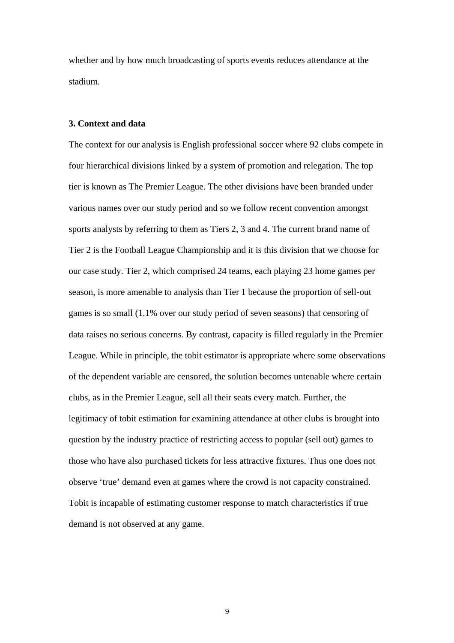whether and by how much broadcasting of sports events reduces attendance at the stadium.

#### **3. Context and data**

The context for our analysis is English professional soccer where 92 clubs compete in four hierarchical divisions linked by a system of promotion and relegation. The top tier is known as The Premier League. The other divisions have been branded under various names over our study period and so we follow recent convention amongst sports analysts by referring to them as Tiers 2, 3 and 4. The current brand name of Tier 2 is the Football League Championship and it is this division that we choose for our case study. Tier 2, which comprised 24 teams, each playing 23 home games per season, is more amenable to analysis than Tier 1 because the proportion of sell-out games is so small (1.1% over our study period of seven seasons) that censoring of data raises no serious concerns. By contrast, capacity is filled regularly in the Premier League. While in principle, the tobit estimator is appropriate where some observations of the dependent variable are censored, the solution becomes untenable where certain clubs, as in the Premier League, sell all their seats every match. Further, the legitimacy of tobit estimation for examining attendance at other clubs is brought into question by the industry practice of restricting access to popular (sell out) games to those who have also purchased tickets for less attractive fixtures. Thus one does not observe 'true' demand even at games where the crowd is not capacity constrained. Tobit is incapable of estimating customer response to match characteristics if true demand is not observed at any game.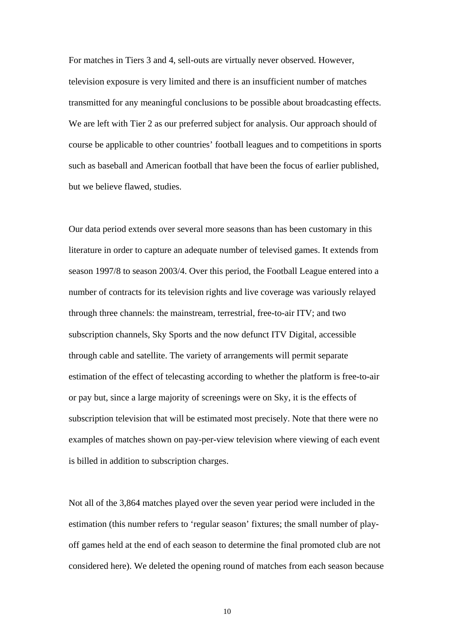For matches in Tiers 3 and 4, sell-outs are virtually never observed. However, television exposure is very limited and there is an insufficient number of matches transmitted for any meaningful conclusions to be possible about broadcasting effects. We are left with Tier 2 as our preferred subject for analysis. Our approach should of course be applicable to other countries' football leagues and to competitions in sports such as baseball and American football that have been the focus of earlier published, but we believe flawed, studies.

Our data period extends over several more seasons than has been customary in this literature in order to capture an adequate number of televised games. It extends from season 1997/8 to season 2003/4. Over this period, the Football League entered into a number of contracts for its television rights and live coverage was variously relayed through three channels: the mainstream, terrestrial, free-to-air ITV; and two subscription channels, Sky Sports and the now defunct ITV Digital, accessible through cable and satellite. The variety of arrangements will permit separate estimation of the effect of telecasting according to whether the platform is free-to-air or pay but, since a large majority of screenings were on Sky, it is the effects of subscription television that will be estimated most precisely. Note that there were no examples of matches shown on pay-per-view television where viewing of each event is billed in addition to subscription charges.

Not all of the 3,864 matches played over the seven year period were included in the estimation (this number refers to 'regular season' fixtures; the small number of playoff games held at the end of each season to determine the final promoted club are not considered here). We deleted the opening round of matches from each season because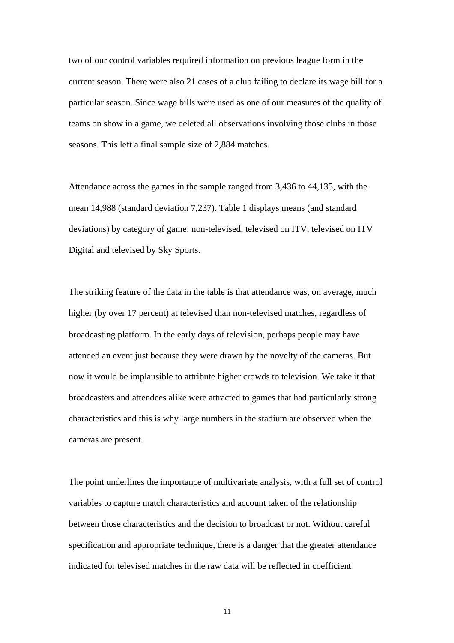two of our control variables required information on previous league form in the current season. There were also 21 cases of a club failing to declare its wage bill for a particular season. Since wage bills were used as one of our measures of the quality of teams on show in a game, we deleted all observations involving those clubs in those seasons. This left a final sample size of 2,884 matches.

Attendance across the games in the sample ranged from 3,436 to 44,135, with the mean 14,988 (standard deviation 7,237). Table 1 displays means (and standard deviations) by category of game: non-televised, televised on ITV, televised on ITV Digital and televised by Sky Sports.

The striking feature of the data in the table is that attendance was, on average, much higher (by over 17 percent) at televised than non-televised matches, regardless of broadcasting platform. In the early days of television, perhaps people may have attended an event just because they were drawn by the novelty of the cameras. But now it would be implausible to attribute higher crowds to television. We take it that broadcasters and attendees alike were attracted to games that had particularly strong characteristics and this is why large numbers in the stadium are observed when the cameras are present.

The point underlines the importance of multivariate analysis, with a full set of control variables to capture match characteristics and account taken of the relationship between those characteristics and the decision to broadcast or not. Without careful specification and appropriate technique, there is a danger that the greater attendance indicated for televised matches in the raw data will be reflected in coefficient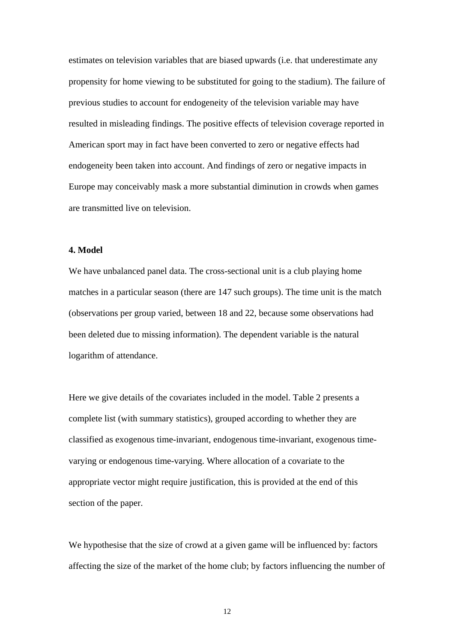estimates on television variables that are biased upwards (i.e. that underestimate any propensity for home viewing to be substituted for going to the stadium). The failure of previous studies to account for endogeneity of the television variable may have resulted in misleading findings. The positive effects of television coverage reported in American sport may in fact have been converted to zero or negative effects had endogeneity been taken into account. And findings of zero or negative impacts in Europe may conceivably mask a more substantial diminution in crowds when games are transmitted live on television.

## **4. Model**

We have unbalanced panel data. The cross-sectional unit is a club playing home matches in a particular season (there are 147 such groups). The time unit is the match (observations per group varied, between 18 and 22, because some observations had been deleted due to missing information). The dependent variable is the natural logarithm of attendance.

Here we give details of the covariates included in the model. Table 2 presents a complete list (with summary statistics), grouped according to whether they are classified as exogenous time-invariant, endogenous time-invariant, exogenous timevarying or endogenous time-varying. Where allocation of a covariate to the appropriate vector might require justification, this is provided at the end of this section of the paper.

We hypothesise that the size of crowd at a given game will be influenced by: factors affecting the size of the market of the home club; by factors influencing the number of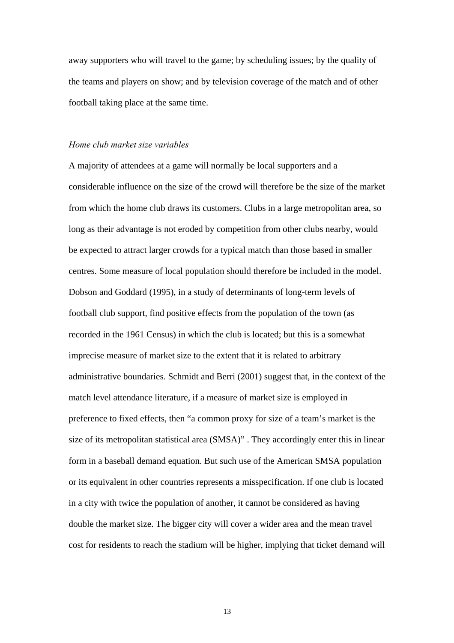away supporters who will travel to the game; by scheduling issues; by the quality of the teams and players on show; and by television coverage of the match and of other football taking place at the same time.

#### *Home club market size variables*

A majority of attendees at a game will normally be local supporters and a considerable influence on the size of the crowd will therefore be the size of the market from which the home club draws its customers. Clubs in a large metropolitan area, so long as their advantage is not eroded by competition from other clubs nearby, would be expected to attract larger crowds for a typical match than those based in smaller centres. Some measure of local population should therefore be included in the model. Dobson and Goddard (1995), in a study of determinants of long-term levels of football club support, find positive effects from the population of the town (as recorded in the 1961 Census) in which the club is located; but this is a somewhat imprecise measure of market size to the extent that it is related to arbitrary administrative boundaries. Schmidt and Berri (2001) suggest that, in the context of the match level attendance literature, if a measure of market size is employed in preference to fixed effects, then "a common proxy for size of a team's market is the size of its metropolitan statistical area (SMSA)" . They accordingly enter this in linear form in a baseball demand equation. But such use of the American SMSA population or its equivalent in other countries represents a misspecification. If one club is located in a city with twice the population of another, it cannot be considered as having double the market size. The bigger city will cover a wider area and the mean travel cost for residents to reach the stadium will be higher, implying that ticket demand will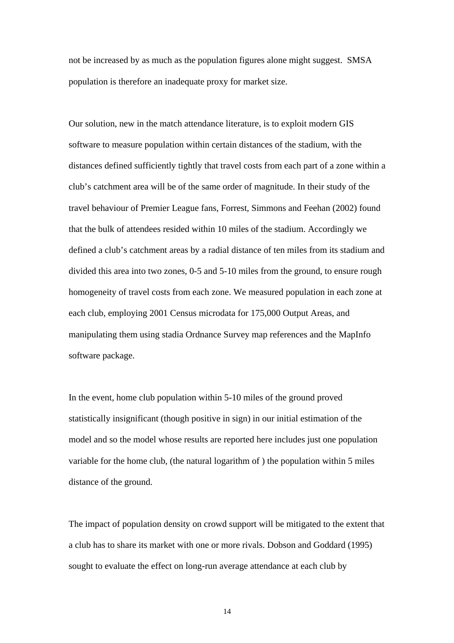not be increased by as much as the population figures alone might suggest. SMSA population is therefore an inadequate proxy for market size.

Our solution, new in the match attendance literature, is to exploit modern GIS software to measure population within certain distances of the stadium, with the distances defined sufficiently tightly that travel costs from each part of a zone within a club's catchment area will be of the same order of magnitude. In their study of the travel behaviour of Premier League fans, Forrest, Simmons and Feehan (2002) found that the bulk of attendees resided within 10 miles of the stadium. Accordingly we defined a club's catchment areas by a radial distance of ten miles from its stadium and divided this area into two zones, 0-5 and 5-10 miles from the ground, to ensure rough homogeneity of travel costs from each zone. We measured population in each zone at each club, employing 2001 Census microdata for 175,000 Output Areas, and manipulating them using stadia Ordnance Survey map references and the MapInfo software package.

In the event, home club population within 5-10 miles of the ground proved statistically insignificant (though positive in sign) in our initial estimation of the model and so the model whose results are reported here includes just one population variable for the home club, (the natural logarithm of ) the population within 5 miles distance of the ground.

The impact of population density on crowd support will be mitigated to the extent that a club has to share its market with one or more rivals. Dobson and Goddard (1995) sought to evaluate the effect on long-run average attendance at each club by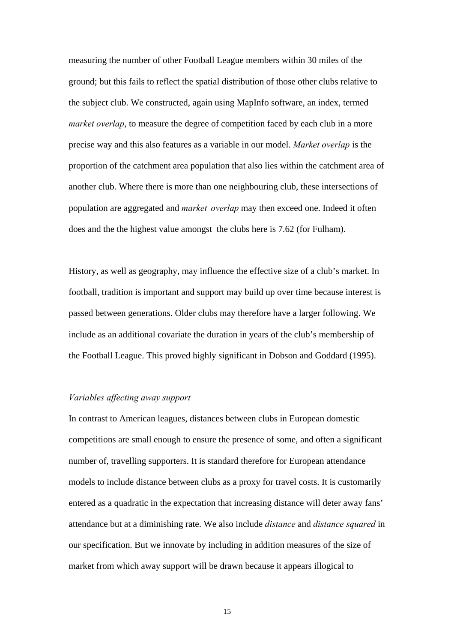measuring the number of other Football League members within 30 miles of the ground; but this fails to reflect the spatial distribution of those other clubs relative to the subject club. We constructed, again using MapInfo software, an index, termed *market overlap*, to measure the degree of competition faced by each club in a more precise way and this also features as a variable in our model. *Market overlap* is the proportion of the catchment area population that also lies within the catchment area of another club. Where there is more than one neighbouring club, these intersections of population are aggregated and *market overlap* may then exceed one. Indeed it often does and the the highest value amongst the clubs here is 7.62 (for Fulham).

History, as well as geography, may influence the effective size of a club's market. In football, tradition is important and support may build up over time because interest is passed between generations. Older clubs may therefore have a larger following. We include as an additional covariate the duration in years of the club's membership of the Football League. This proved highly significant in Dobson and Goddard (1995).

### *Variables affecting away support*

In contrast to American leagues, distances between clubs in European domestic competitions are small enough to ensure the presence of some, and often a significant number of, travelling supporters. It is standard therefore for European attendance models to include distance between clubs as a proxy for travel costs. It is customarily entered as a quadratic in the expectation that increasing distance will deter away fans' attendance but at a diminishing rate. We also include *distance* and *distance squared* in our specification. But we innovate by including in addition measures of the size of market from which away support will be drawn because it appears illogical to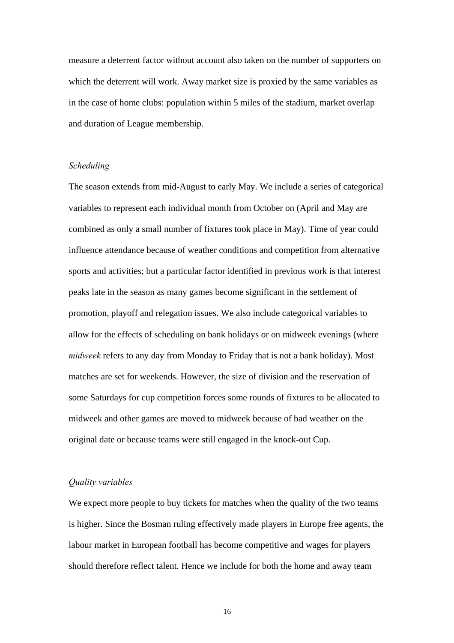measure a deterrent factor without account also taken on the number of supporters on which the deterrent will work. Away market size is proxied by the same variables as in the case of home clubs: population within 5 miles of the stadium, market overlap and duration of League membership.

#### *Scheduling*

The season extends from mid-August to early May. We include a series of categorical variables to represent each individual month from October on (April and May are combined as only a small number of fixtures took place in May). Time of year could influence attendance because of weather conditions and competition from alternative sports and activities; but a particular factor identified in previous work is that interest peaks late in the season as many games become significant in the settlement of promotion, playoff and relegation issues. We also include categorical variables to allow for the effects of scheduling on bank holidays or on midweek evenings (where *midweek* refers to any day from Monday to Friday that is not a bank holiday). Most matches are set for weekends. However, the size of division and the reservation of some Saturdays for cup competition forces some rounds of fixtures to be allocated to midweek and other games are moved to midweek because of bad weather on the original date or because teams were still engaged in the knock-out Cup.

#### *Quality variables*

We expect more people to buy tickets for matches when the quality of the two teams is higher. Since the Bosman ruling effectively made players in Europe free agents, the labour market in European football has become competitive and wages for players should therefore reflect talent. Hence we include for both the home and away team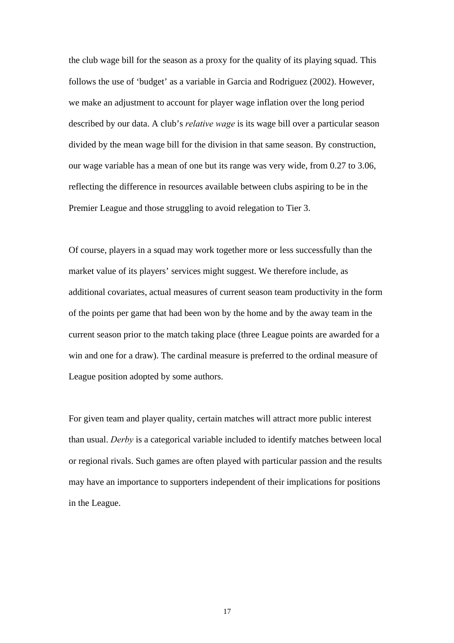the club wage bill for the season as a proxy for the quality of its playing squad. This follows the use of 'budget' as a variable in Garcia and Rodriguez (2002). However, we make an adjustment to account for player wage inflation over the long period described by our data. A club's *relative wage* is its wage bill over a particular season divided by the mean wage bill for the division in that same season. By construction, our wage variable has a mean of one but its range was very wide, from 0.27 to 3.06, reflecting the difference in resources available between clubs aspiring to be in the Premier League and those struggling to avoid relegation to Tier 3.

Of course, players in a squad may work together more or less successfully than the market value of its players' services might suggest. We therefore include, as additional covariates, actual measures of current season team productivity in the form of the points per game that had been won by the home and by the away team in the current season prior to the match taking place (three League points are awarded for a win and one for a draw). The cardinal measure is preferred to the ordinal measure of League position adopted by some authors.

For given team and player quality, certain matches will attract more public interest than usual. *Derby* is a categorical variable included to identify matches between local or regional rivals. Such games are often played with particular passion and the results may have an importance to supporters independent of their implications for positions in the League.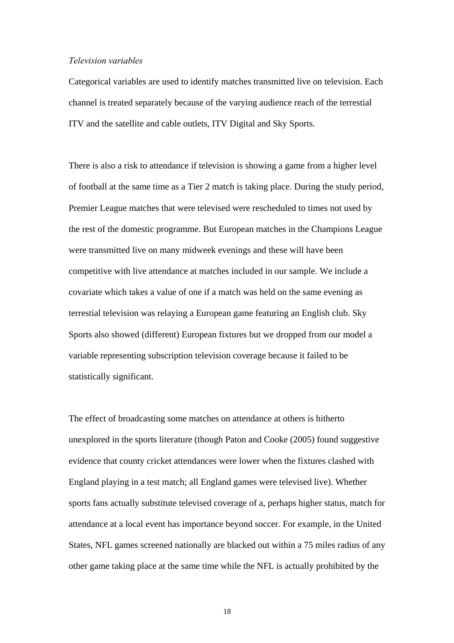#### *Television variables*

Categorical variables are used to identify matches transmitted live on television. Each channel is treated separately because of the varying audience reach of the terrestial ITV and the satellite and cable outlets, ITV Digital and Sky Sports.

There is also a risk to attendance if television is showing a game from a higher level of football at the same time as a Tier 2 match is taking place. During the study period, Premier League matches that were televised were rescheduled to times not used by the rest of the domestic programme. But European matches in the Champions League were transmitted live on many midweek evenings and these will have been competitive with live attendance at matches included in our sample. We include a covariate which takes a value of one if a match was held on the same evening as terrestial television was relaying a European game featuring an English club. Sky Sports also showed (different) European fixtures but we dropped from our model a variable representing subscription television coverage because it failed to be statistically significant.

The effect of broadcasting some matches on attendance at others is hitherto unexplored in the sports literature (though Paton and Cooke (2005) found suggestive evidence that county cricket attendances were lower when the fixtures clashed with England playing in a test match; all England games were televised live). Whether sports fans actually substitute televised coverage of a, perhaps higher status, match for attendance at a local event has importance beyond soccer. For example, in the United States, NFL games screened nationally are blacked out within a 75 miles radius of any other game taking place at the same time while the NFL is actually prohibited by the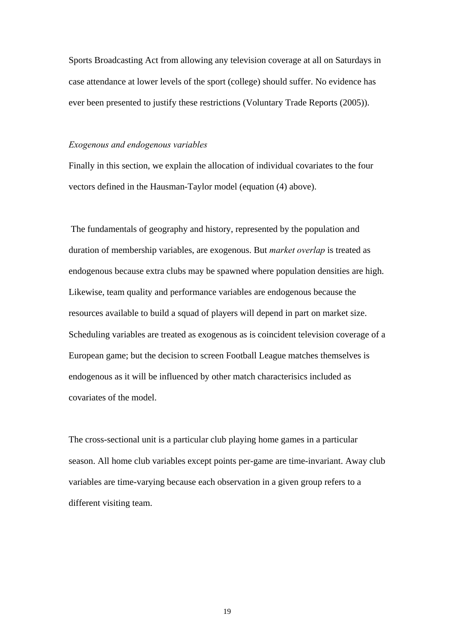Sports Broadcasting Act from allowing any television coverage at all on Saturdays in case attendance at lower levels of the sport (college) should suffer. No evidence has ever been presented to justify these restrictions (Voluntary Trade Reports (2005)).

#### *Exogenous and endogenous variables*

Finally in this section, we explain the allocation of individual covariates to the four vectors defined in the Hausman-Taylor model (equation (4) above).

 The fundamentals of geography and history, represented by the population and duration of membership variables, are exogenous. But *market overlap* is treated as endogenous because extra clubs may be spawned where population densities are high. Likewise, team quality and performance variables are endogenous because the resources available to build a squad of players will depend in part on market size. Scheduling variables are treated as exogenous as is coincident television coverage of a European game; but the decision to screen Football League matches themselves is endogenous as it will be influenced by other match characterisics included as covariates of the model.

The cross-sectional unit is a particular club playing home games in a particular season. All home club variables except points per-game are time-invariant. Away club variables are time-varying because each observation in a given group refers to a different visiting team.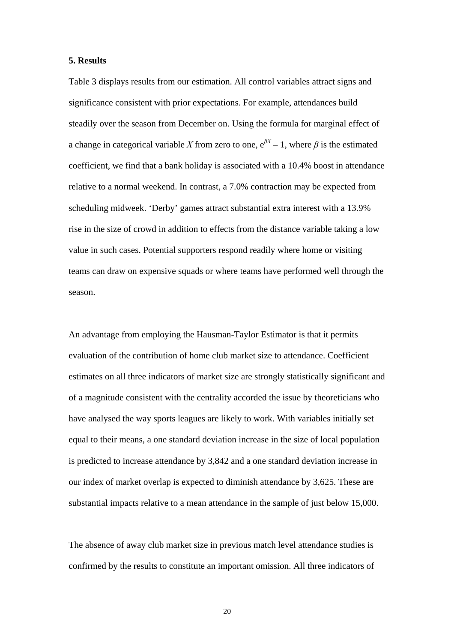#### **5. Results**

Table 3 displays results from our estimation. All control variables attract signs and significance consistent with prior expectations. For example, attendances build steadily over the season from December on. Using the formula for marginal effect of a change in categorical variable *X* from zero to one,  $e^{\beta X} - 1$ , where  $\beta$  is the estimated coefficient, we find that a bank holiday is associated with a 10.4% boost in attendance relative to a normal weekend. In contrast, a 7.0% contraction may be expected from scheduling midweek. 'Derby' games attract substantial extra interest with a 13.9% rise in the size of crowd in addition to effects from the distance variable taking a low value in such cases. Potential supporters respond readily where home or visiting teams can draw on expensive squads or where teams have performed well through the season.

An advantage from employing the Hausman-Taylor Estimator is that it permits evaluation of the contribution of home club market size to attendance. Coefficient estimates on all three indicators of market size are strongly statistically significant and of a magnitude consistent with the centrality accorded the issue by theoreticians who have analysed the way sports leagues are likely to work. With variables initially set equal to their means, a one standard deviation increase in the size of local population is predicted to increase attendance by 3,842 and a one standard deviation increase in our index of market overlap is expected to diminish attendance by 3,625. These are substantial impacts relative to a mean attendance in the sample of just below 15,000.

The absence of away club market size in previous match level attendance studies is confirmed by the results to constitute an important omission. All three indicators of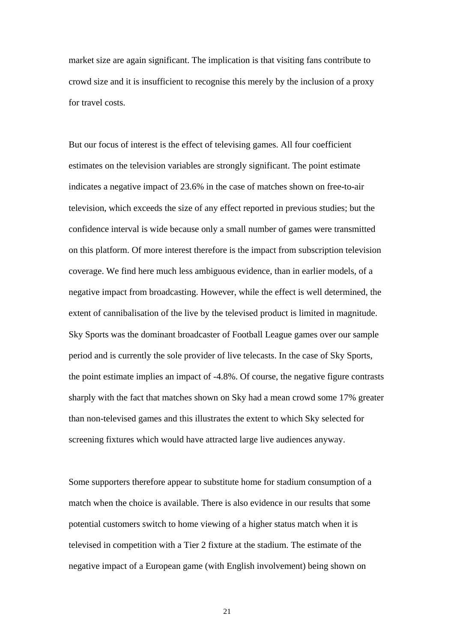market size are again significant. The implication is that visiting fans contribute to crowd size and it is insufficient to recognise this merely by the inclusion of a proxy for travel costs.

But our focus of interest is the effect of televising games. All four coefficient estimates on the television variables are strongly significant. The point estimate indicates a negative impact of 23.6% in the case of matches shown on free-to-air television, which exceeds the size of any effect reported in previous studies; but the confidence interval is wide because only a small number of games were transmitted on this platform. Of more interest therefore is the impact from subscription television coverage. We find here much less ambiguous evidence, than in earlier models, of a negative impact from broadcasting. However, while the effect is well determined, the extent of cannibalisation of the live by the televised product is limited in magnitude. Sky Sports was the dominant broadcaster of Football League games over our sample period and is currently the sole provider of live telecasts. In the case of Sky Sports, the point estimate implies an impact of -4.8%. Of course, the negative figure contrasts sharply with the fact that matches shown on Sky had a mean crowd some 17% greater than non-televised games and this illustrates the extent to which Sky selected for screening fixtures which would have attracted large live audiences anyway.

Some supporters therefore appear to substitute home for stadium consumption of a match when the choice is available. There is also evidence in our results that some potential customers switch to home viewing of a higher status match when it is televised in competition with a Tier 2 fixture at the stadium. The estimate of the negative impact of a European game (with English involvement) being shown on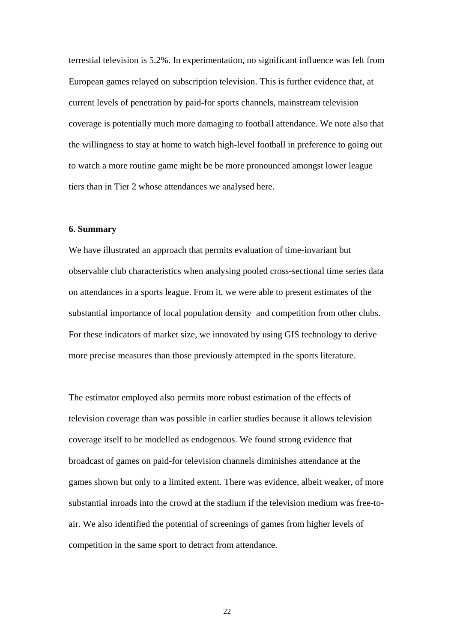terrestial television is 5.2%. In experimentation, no significant influence was felt from European games relayed on subscription television. This is further evidence that, at current levels of penetration by paid-for sports channels, mainstream television coverage is potentially much more damaging to football attendance. We note also that the willingness to stay at home to watch high-level football in preference to going out to watch a more routine game might be be more pronounced amongst lower league tiers than in Tier 2 whose attendances we analysed here.

#### **6. Summary**

We have illustrated an approach that permits evaluation of time-invariant but observable club characteristics when analysing pooled cross-sectional time series data on attendances in a sports league. From it, we were able to present estimates of the substantial importance of local population density and competition from other clubs. For these indicators of market size, we innovated by using GIS technology to derive more precise measures than those previously attempted in the sports literature.

The estimator employed also permits more robust estimation of the effects of television coverage than was possible in earlier studies because it allows television coverage itself to be modelled as endogenous. We found strong evidence that broadcast of games on paid-for television channels diminishes attendance at the games shown but only to a limited extent. There was evidence, albeit weaker, of more substantial inroads into the crowd at the stadium if the television medium was free-toair. We also identified the potential of screenings of games from higher levels of competition in the same sport to detract from attendance.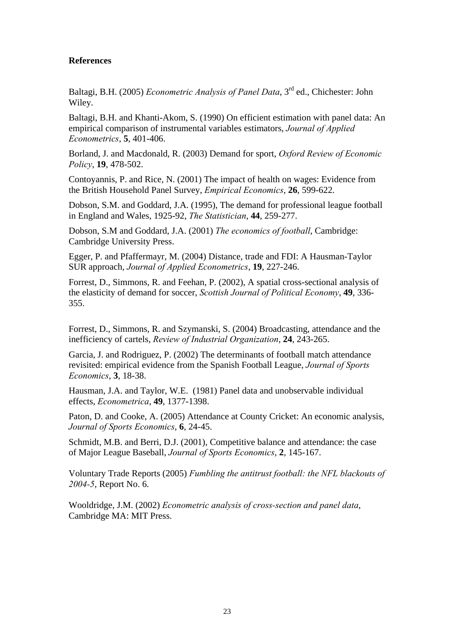## **References**

Baltagi, B.H. (2005) *Econometric Analysis of Panel Data*, 3rd ed., Chichester: John Wiley.

Baltagi, B.H. and Khanti-Akom, S. (1990) On efficient estimation with panel data: An empirical comparison of instrumental variables estimators, *Journal of Applied Econometrics*, **5**, 401-406.

Borland, J. and Macdonald, R. (2003) Demand for sport, *Oxford Review of Economic Policy*, **19**, 478-502.

Contoyannis, P. and Rice, N. (2001) The impact of health on wages: Evidence from the British Household Panel Survey, *Empirical Economics*, **26**, 599-622.

Dobson, S.M. and Goddard, J.A. (1995), The demand for professional league football in England and Wales, 1925-92, *The Statistician*, **44**, 259-277.

Dobson, S.M and Goddard, J.A. (2001) *The economics of football*, Cambridge: Cambridge University Press.

Egger, P. and Pfaffermayr, M. (2004) Distance, trade and FDI: A Hausman-Taylor SUR approach, *Journal of Applied Econometrics*, **19**, 227-246.

Forrest, D., Simmons, R. and Feehan, P. (2002), A spatial cross-sectional analysis of the elasticity of demand for soccer, *Scottish Journal of Political Economy*, **49**, 336- 355.

Forrest, D., Simmons, R. and Szymanski, S. (2004) Broadcasting, attendance and the inefficiency of cartels, *Review of Industrial Organization*, **24**, 243-265.

Garcia, J. and Rodriguez, P. (2002) The determinants of football match attendance revisited: empirical evidence from the Spanish Football League, *Journal of Sports Economics*, **3**, 18-38.

Hausman, J.A. and Taylor, W.E. (1981) Panel data and unobservable individual effects, *Econometrica*, **49**, 1377-1398.

Paton, D. and Cooke, A. (2005) Attendance at County Cricket: An economic analysis, *Journal of Sports Economics*, **6**, 24-45.

Schmidt, M.B. and Berri, D.J. (2001), Competitive balance and attendance: the case of Major League Baseball, *Journal of Sports Economics*, **2**, 145-167.

Voluntary Trade Reports (2005) *Fumbling the antitrust football: the NFL blackouts of 2004-5*, Report No. 6.

Wooldridge, J.M. (2002) *Econometric analysis of cross-section and panel data*, Cambridge MA: MIT Press.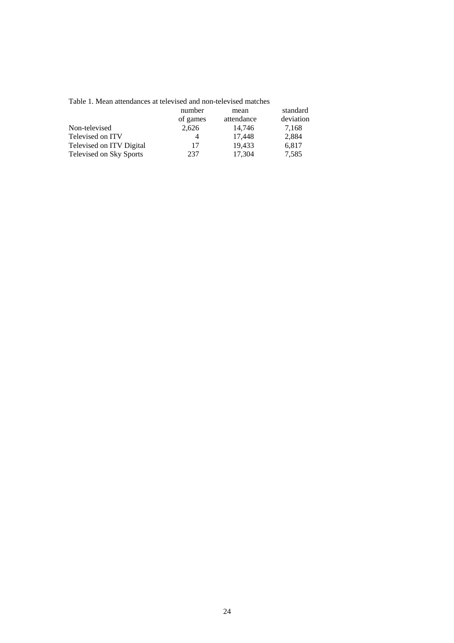| Table 1. Mean attendances at televised and non-televised matches |  |
|------------------------------------------------------------------|--|
|------------------------------------------------------------------|--|

|                          | number   | mean       | standard  |
|--------------------------|----------|------------|-----------|
|                          | of games | attendance | deviation |
| Non-televised            | 2,626    | 14.746     | 7,168     |
| Televised on ITV         |          | 17.448     | 2,884     |
| Televised on ITV Digital | 17       | 19.433     | 6,817     |
| Televised on Sky Sports  | 237      | 17.304     | 7,585     |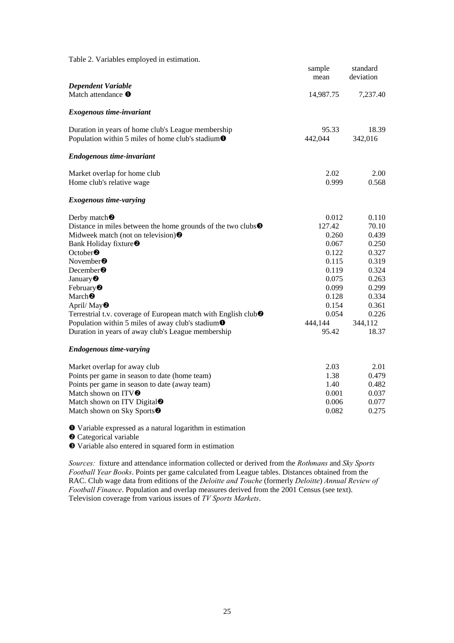| Table 2. Variables employed in estimation.                                                                       |                  |                       |
|------------------------------------------------------------------------------------------------------------------|------------------|-----------------------|
|                                                                                                                  | sample<br>mean   | standard<br>deviation |
| <b>Dependent Variable</b>                                                                                        |                  |                       |
| Match attendance <b>O</b>                                                                                        | 14,987.75        | 7,237.40              |
| Exogenous time-invariant                                                                                         |                  |                       |
| Duration in years of home club's League membership<br>Population within 5 miles of home club's stadium $\bullet$ | 95.33<br>442,044 | 18.39<br>342,016      |
| <b>Endogenous time-invariant</b>                                                                                 |                  |                       |
| Market overlap for home club                                                                                     | 2.02             | 2.00                  |
| Home club's relative wage                                                                                        | 0.999            | 0.568                 |
| <b>Exogenous time-varying</b>                                                                                    |                  |                       |
| Derby match <sup>®</sup>                                                                                         | 0.012            | 0.110                 |
| Distance in miles between the home grounds of the two clubs $\Theta$                                             | 127.42           | 70.10                 |
| Midweek match (not on television) $\Theta$                                                                       | 0.260            | 0.439                 |
| Bank Holiday fixture <sup>2</sup>                                                                                | 0.067            | 0.250                 |
| October <sup>®</sup>                                                                                             | 0.122            | 0.327                 |
| November $\bullet$                                                                                               | 0.115            | 0.319                 |
| December $\bullet$                                                                                               | 0.119            | 0.324                 |
| January <sup>®</sup>                                                                                             | 0.075            | 0.263                 |
| February <sup>®</sup>                                                                                            | 0.099            | 0.299                 |
| March <sup>®</sup>                                                                                               | 0.128            | 0.334                 |
| April/May <sup>2</sup>                                                                                           | 0.154            | 0.361                 |
| Terrestrial t.v. coverage of European match with English club <sup>2</sup>                                       | 0.054            | 0.226                 |
| Population within 5 miles of away club's stadium $\bullet$                                                       | 444,144          | 344,112               |
| Duration in years of away club's League membership                                                               | 95.42            | 18.37                 |
| <b>Endogenous time-varying</b>                                                                                   |                  |                       |
| Market overlap for away club                                                                                     | 2.03             | 2.01                  |
| Points per game in season to date (home team)                                                                    | 1.38             | 0.479                 |
| Points per game in season to date (away team)                                                                    | 1.40             | 0.482                 |
| Match shown on ITV <sup>O</sup>                                                                                  | 0.001            | 0.037                 |
| Match shown on ITV Digital <sup>2</sup>                                                                          | 0.006            | 0.077                 |
| Match shown on Sky Sports <sup>2</sup>                                                                           | 0.082            | 0.275                 |
| <b>O</b> Variable expressed as a natural logarithm in estimation                                                 |                  |                       |

 $\bullet$  Categorical variable

p Variable also entered in squared form in estimation

*Sources:* fixture and attendance information collected or derived from the *Rothmans* and *Sky Sports Football Year Books*. Points per game calculated from League tables. Distances obtained from the RAC. Club wage data from editions of the *Deloitte and Touche* (formerly *Deloitte*) *Annual Review of Football Finance*. Population and overlap measures derived from the 2001 Census (see text). Television coverage from various issues of *TV Sports Markets*.